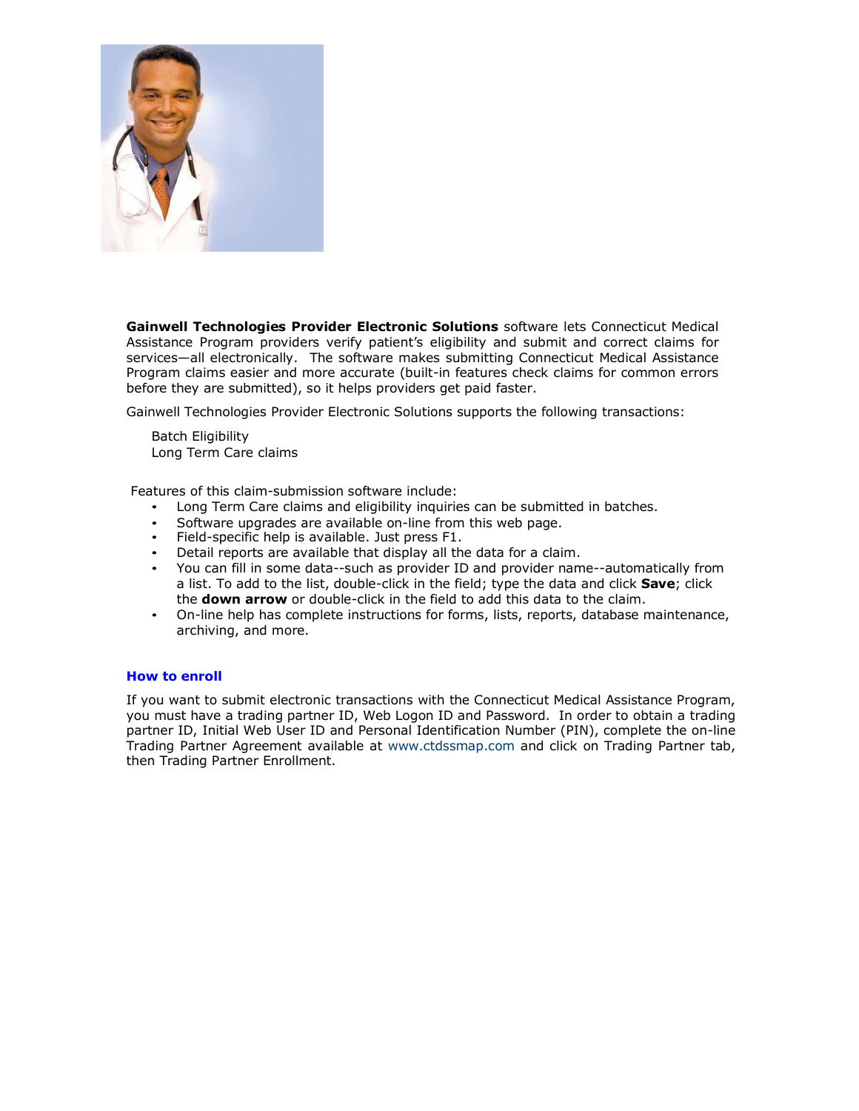

**Gainwell Technologies Provider Electronic Solutions** software lets Connecticut Medical Assistance Program providers verify patient's eligibility and submit and correct claims for services—all electronically. The software makes submitting Connecticut Medical Assistance Program claims easier and more accurate (built-in features check claims for common errors before they are submitted), so it helps providers get paid faster.

Gainwell Technologies Provider Electronic Solutions supports the following transactions:

Batch Eligibility Long Term Care claims

Features of this claim-submission software include:

- Long Term Care claims and eligibility inquiries can be submitted in batches.
- Software upgrades are available on-line from this web page.
- Field-specific help is available. Just press F1.
- Detail reports are available that display all the data for a claim.
- You can fill in some data--such as provider ID and provider name--automatically from a list. To add to the list, double-click in the field; type the data and click **Save**; click the **down arrow** or double-click in the field to add this data to the claim.
- On-line help has complete instructions for forms, lists, reports, database maintenance, archiving, and more.

#### **How to enroll**

If you want to submit electronic transactions with the Connecticut Medical Assistance Program, you must have a trading partner ID, Web Logon ID and Password. In order to obtain a trading partner ID, Initial Web User ID and Personal Identification Number (PIN), complete the on-line Trading Partner Agreement available at [www.ctdssmap.com a](http://www.ctdssmap.com/)nd click on Trading Partner tab, then Trading Partner Enrollment.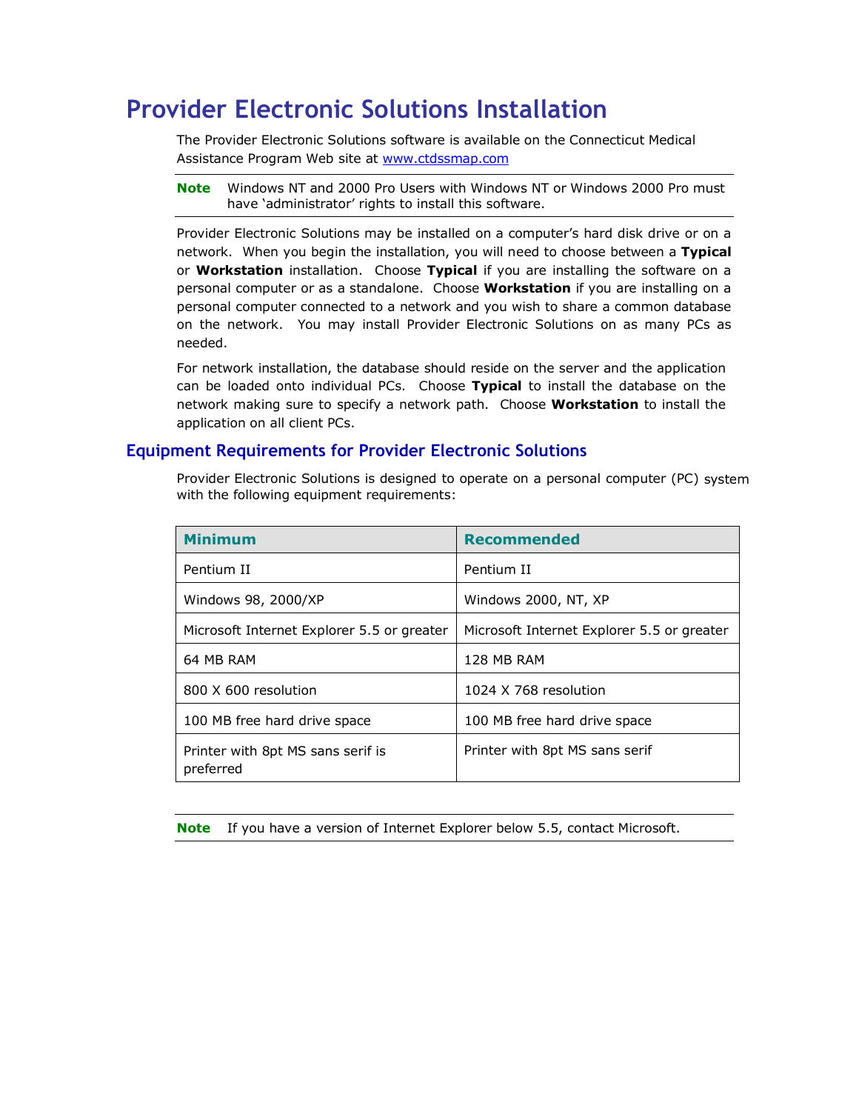# **Provider Electronic Solutions Installation**

The Provider Electronic Solutions software is available on the Connecticut Medical Assistance Program Web site at [www.ctdssmap.com](http://www.ctdssmap.com/)

**Note** Windows NT and 2000 Pro Users with Windows NT or Windows 2000 Pro must have 'administrator' rights to install this software.

Provider Electronic Solutions may be installed on a computer's hard disk drive or on a network. When you begin the installation, you will need to choose between a **Typical**  or **Workstation** installation. Choose **Typical** if you are installing the software on a personal computer or as a standalone. Choose **Workstation** if you are installing on a personal computer connected to a network and you wish to share a common database on the network. You may install Provider Electronic Solutions on as many PCs as needed.

For network installation, the database should reside on the server and the application can be loaded onto individual PCs. Choose **Typical** to install the database on the network making sure to specify a network path. Choose **Workstation** to install the application on all client PCs.

# **Equipment Requirements for Provider Electronic Solutions**

Provider Electronic Solutions is designed to operate on a personal computer (PC) system with the following equipment requirements:

| <b>Minimum</b>                                 | <b>Recommended</b>                         |
|------------------------------------------------|--------------------------------------------|
| Pentium II                                     | Pentium II                                 |
| Windows 98, 2000/XP                            | Windows 2000, NT, XP                       |
| Microsoft Internet Explorer 5.5 or greater     | Microsoft Internet Explorer 5.5 or greater |
| 64 MB RAM                                      | 128 MB RAM                                 |
| 800 X 600 resolution                           | 1024 X 768 resolution                      |
| 100 MB free hard drive space                   | 100 MB free hard drive space               |
| Printer with 8pt MS sans serif is<br>preferred | Printer with 8pt MS sans serif             |

**Note** If you have a version of Internet Explorer below 5.5, contact Microsoft.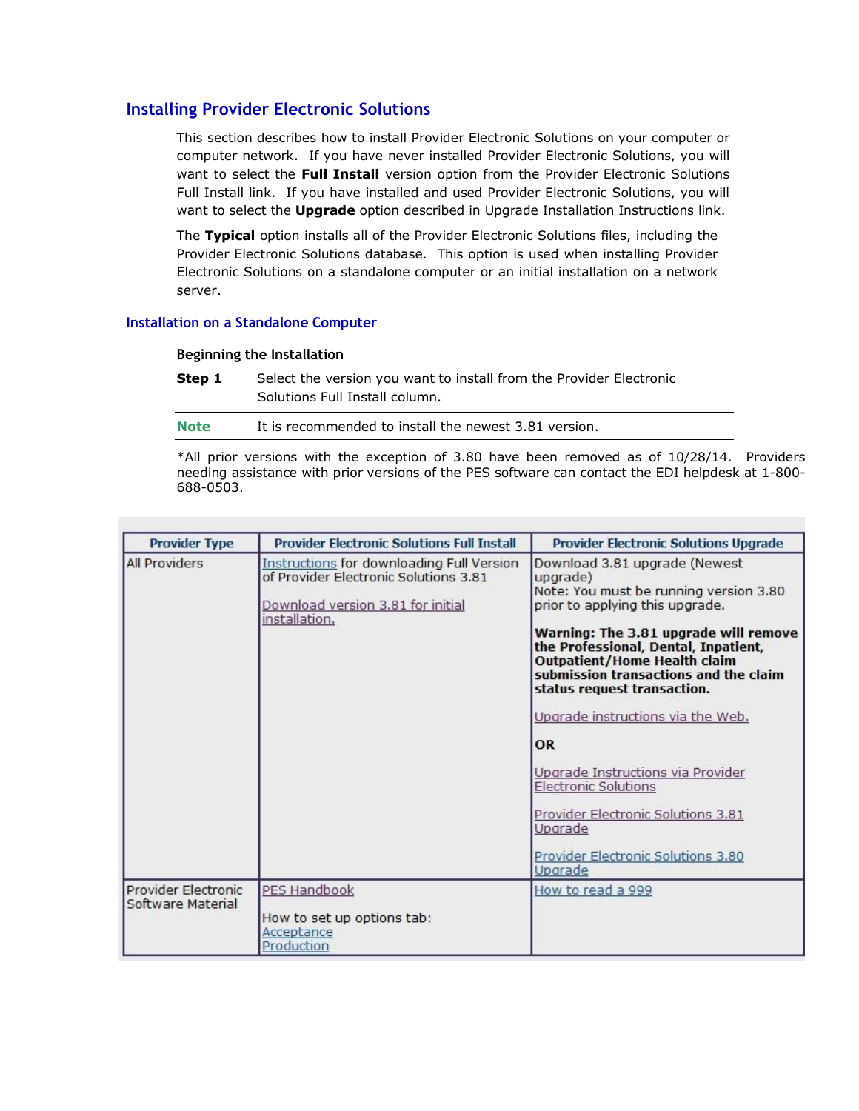# **Installing Provider Electronic Solutions**

This section describes how to install Provider Electronic Solutions on your computer or computer network. If you have never installed Provider Electronic Solutions, you will want to select the **Full Install** version option from the Provider Electronic Solutions Full Install link. If you have installed and used Provider Electronic Solutions, you will want to select the **Upgrade** option described in Upgrade Installation Instructions link.

The **Typical** option installs all of the Provider Electronic Solutions files, including the Provider Electronic Solutions database. This option is used when installing Provider Electronic Solutions on a standalone computer or an initial installation on a network server.

### **Installation on a Standalone Computer**

#### **Beginning the Installation**

**Step 1** Select the version you want to install from the Provider Electronic Solutions Full Install column.

| <b>Note</b> | It is recommended to install the newest 3.81 version. |
|-------------|-------------------------------------------------------|
|             |                                                       |

\*All prior versions with the exception of 3.80 have been removed as of 10/28/14. Providers needing assistance with prior versions of the PES software can contact the EDI helpdesk at 1-800- 688-0503.

| <b>Provider Type</b>                     | <b>Provider Electronic Solutions Full Install</b>                                                                                        | <b>Provider Electronic Solutions Upgrade</b>                                                                                                                                                                                                                                                                                                                                                                                                                                                                                                   |
|------------------------------------------|------------------------------------------------------------------------------------------------------------------------------------------|------------------------------------------------------------------------------------------------------------------------------------------------------------------------------------------------------------------------------------------------------------------------------------------------------------------------------------------------------------------------------------------------------------------------------------------------------------------------------------------------------------------------------------------------|
| <b>All Providers</b>                     | Instructions for downloading Full Version<br>of Provider Electronic Solutions 3.81<br>Download version 3.81 for initial<br>installation. | Download 3.81 upgrade (Newest<br>upgrade)<br>Note: You must be running version 3.80<br>prior to applying this upgrade.<br>Warning: The 3.81 upgrade will remove<br>the Professional, Dental, Inpatient,<br><b>Outpatient/Home Health claim</b><br>submission transactions and the claim<br>status request transaction.<br>Upgrade instructions via the Web.<br><b>OR</b><br>Upgrade Instructions via Provider<br><b>Electronic Solutions</b><br>Provider Electronic Solutions 3.81<br>Upgrade<br>Provider Electronic Solutions 3.80<br>Upgrade |
| Provider Electronic<br>Software Material | PES Handbook<br>How to set up options tab:<br>Acceptance<br>Production                                                                   | How to read a 999                                                                                                                                                                                                                                                                                                                                                                                                                                                                                                                              |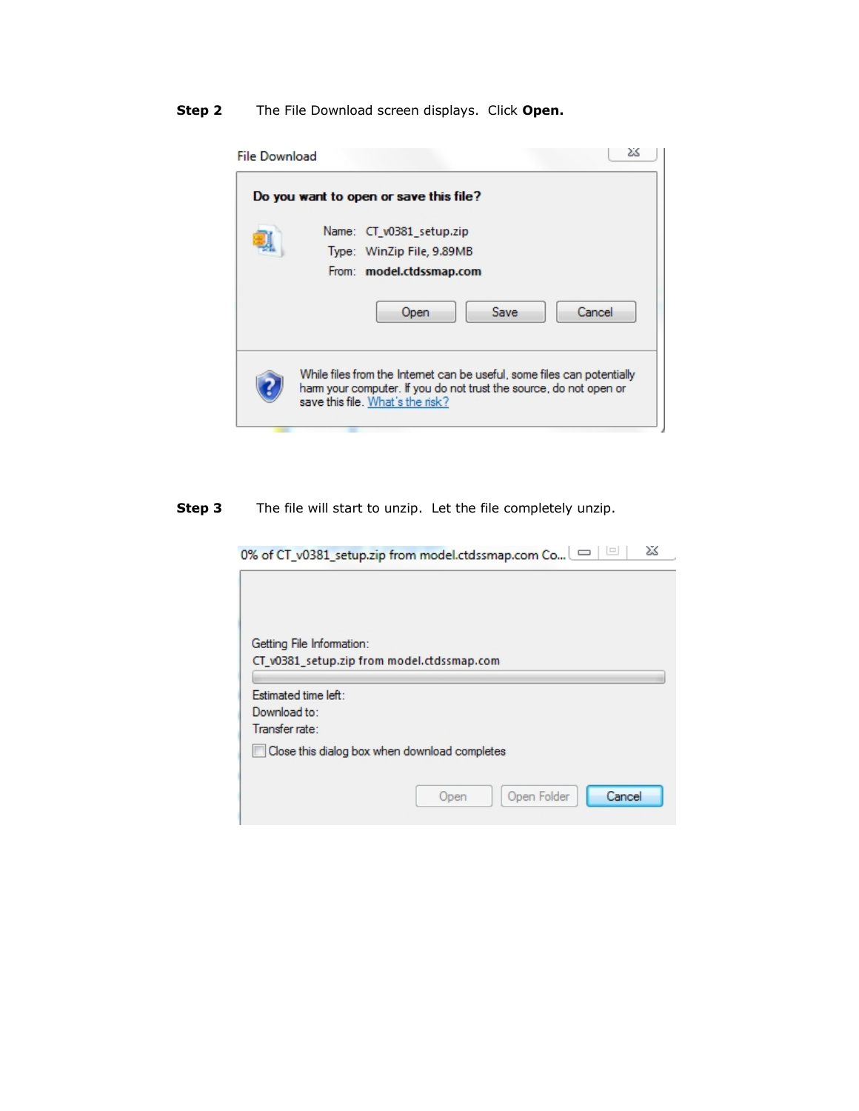**Step 2** The File Download screen displays. Click **Open.**

| <b>File Download</b> | 23                                                                                                                                                                               |
|----------------------|----------------------------------------------------------------------------------------------------------------------------------------------------------------------------------|
|                      | Do you want to open or save this file?                                                                                                                                           |
|                      | Name: CT v0381 setup.zip<br>Type: WinZip File, 9.89MB<br>From: model.ctdssmap.com                                                                                                |
|                      | Cancel<br>Save<br>Open                                                                                                                                                           |
|                      | While files from the Internet can be useful, some files can potentially<br>ham your computer. If you do not trust the source, do not open or<br>save this file. What's the risk? |

**Step 3** The file will start to unzip. Let the file completely unzip.

0% of CT\_v0381\_setup.zip from model.ctdssmap.com Co... | □ | □ | 2%

| Getting File Information:                  |                                               |
|--------------------------------------------|-----------------------------------------------|
| CT_v0381_setup.zip from model.ctdssmap.com |                                               |
|                                            |                                               |
| Estimated time left:                       |                                               |
| Download to:<br>Transfer rate:             |                                               |
|                                            |                                               |
|                                            | Close this dialog box when download completes |
|                                            |                                               |
|                                            | Cancel<br>Open Folder<br>Open                 |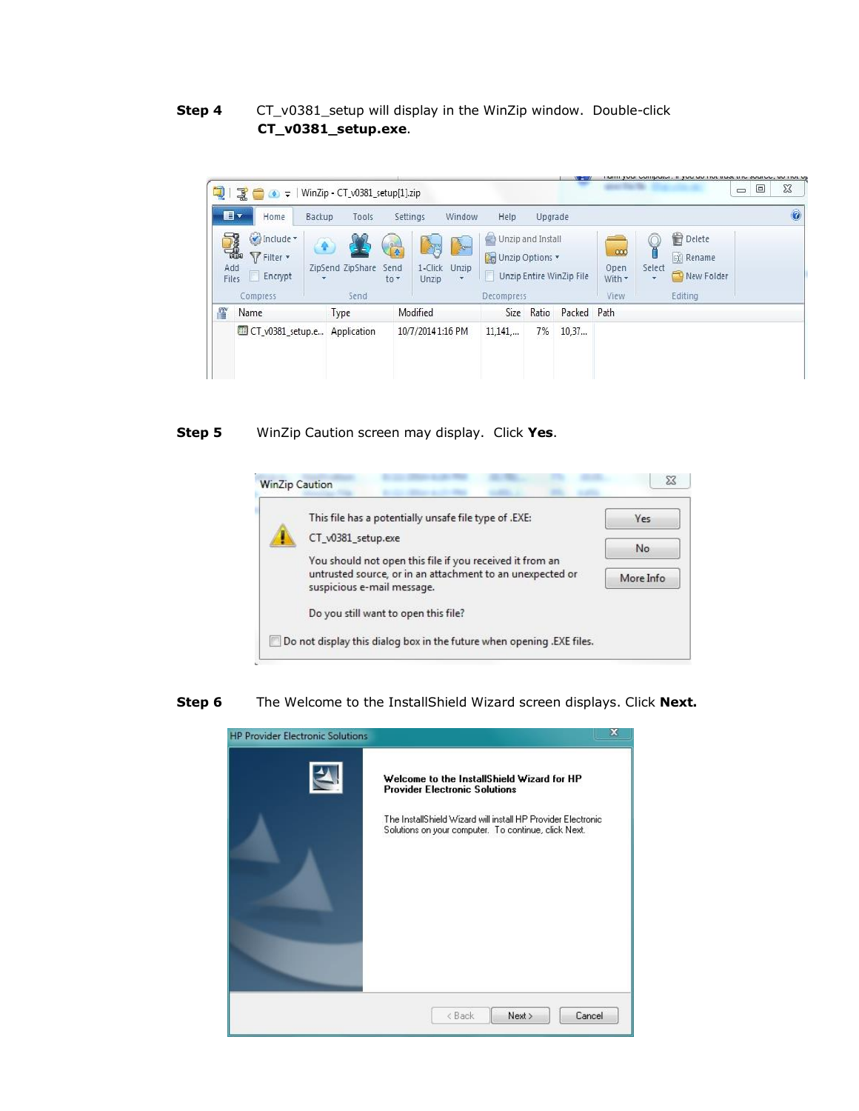## **Step 4** CT\_v0381\_setup will display in the WinZip window. Double-click **CT\_v0381\_setup.exe**.



#### **Step 5** WinZip Caution screen may display. Click **Yes**.



#### **Step 6** The Welcome to the InstallShield Wizard screen displays. Click **Next.**

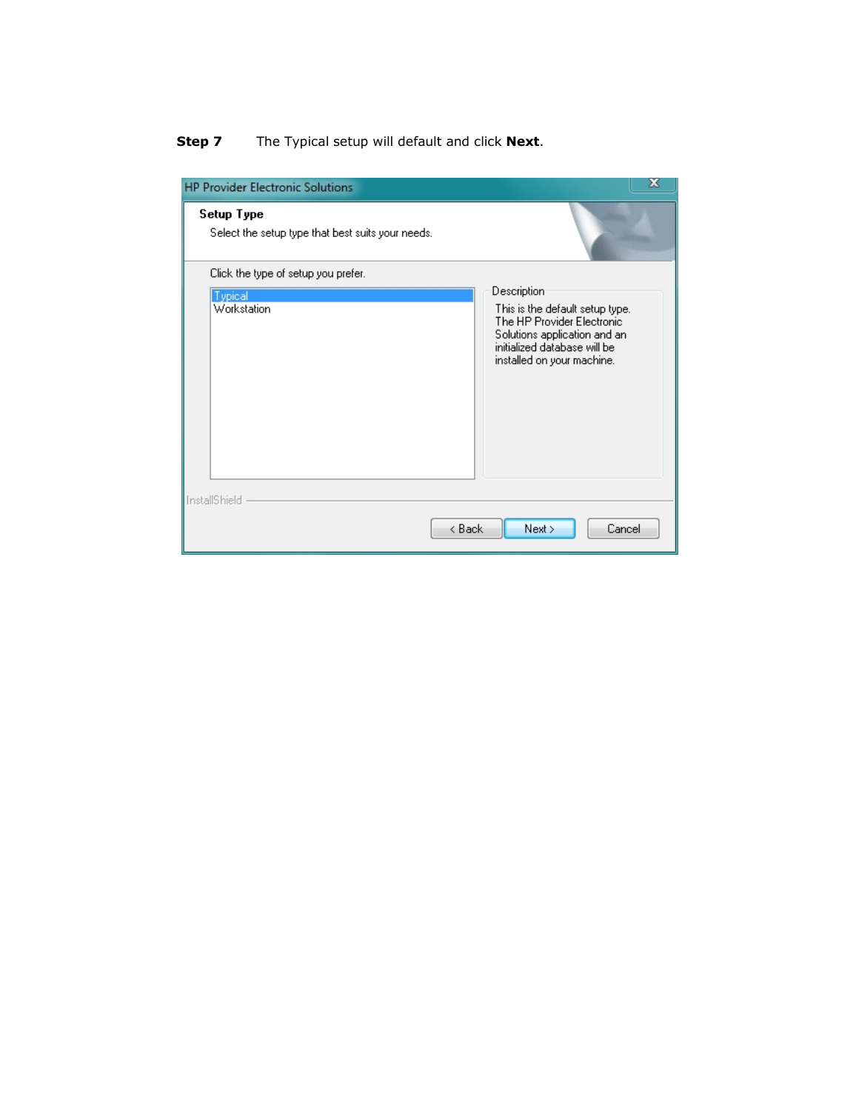# **Step 7** The Typical setup will default and click **Next**.

| <b>HP Provider Electronic Solutions</b>                         | x                                                                                                                                                           |
|-----------------------------------------------------------------|-------------------------------------------------------------------------------------------------------------------------------------------------------------|
| Setup Type<br>Select the setup type that best suits your needs. |                                                                                                                                                             |
| Click the type of setup you prefer.                             |                                                                                                                                                             |
| <b>Typical</b>                                                  | Description                                                                                                                                                 |
| Workstation                                                     | This is the default setup type.<br>The HP Provider Electronic<br>Solutions application and an<br>initialized database will be<br>installed on your machine. |
| InstallShield                                                   |                                                                                                                                                             |
| < Back                                                          | Cancel<br>Next                                                                                                                                              |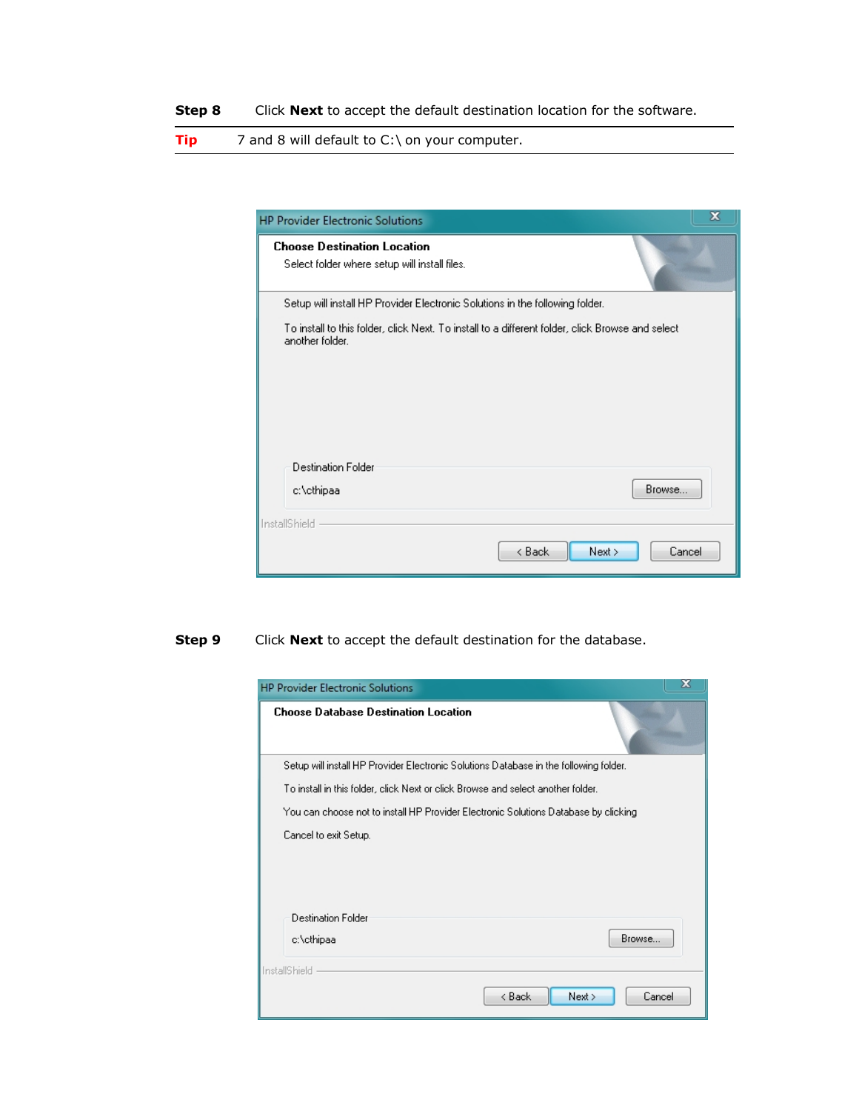**Step 8** Click **Next** to accept the default destination location for the software.

**Tip** 7 and 8 will default to C:\ on your computer.

| <b>HP Provider Electronic Solutions</b>                                                                             | x              |
|---------------------------------------------------------------------------------------------------------------------|----------------|
| <b>Choose Destination Location</b><br>Select folder where setup will install files.                                 |                |
| Setup will install HP Provider Electronic Solutions in the following folder.                                        |                |
| To install to this folder, click Next. To install to a different folder, click Browse and select<br>another folder. |                |
| <b>Destination Folder</b>                                                                                           |                |
| c:\cthipaa                                                                                                          | Browse         |
| <b>InstallShield</b>                                                                                                |                |
| < Back                                                                                                              | Cancel<br>Next |

# **Step 9** Click **Next** to accept the default destination for the database.

| <b>HP Provider Electronic Solutions</b><br><b>Choose Database Destination Location</b> | x                                                                                     |
|----------------------------------------------------------------------------------------|---------------------------------------------------------------------------------------|
|                                                                                        | Setup will install HP Provider Electronic Solutions Database in the following folder. |
|                                                                                        | To install in this folder, click Next or click Browse and select another folder.      |
|                                                                                        | You can choose not to install HP Provider Electronic Solutions Database by clicking   |
| Cancel to exit Setup.                                                                  |                                                                                       |
| <b>Destination Folder</b><br>c:\cthipaa                                                | Browse                                                                                |
| InstallShield                                                                          |                                                                                       |
|                                                                                        | < Back<br>Next ><br>Cancel                                                            |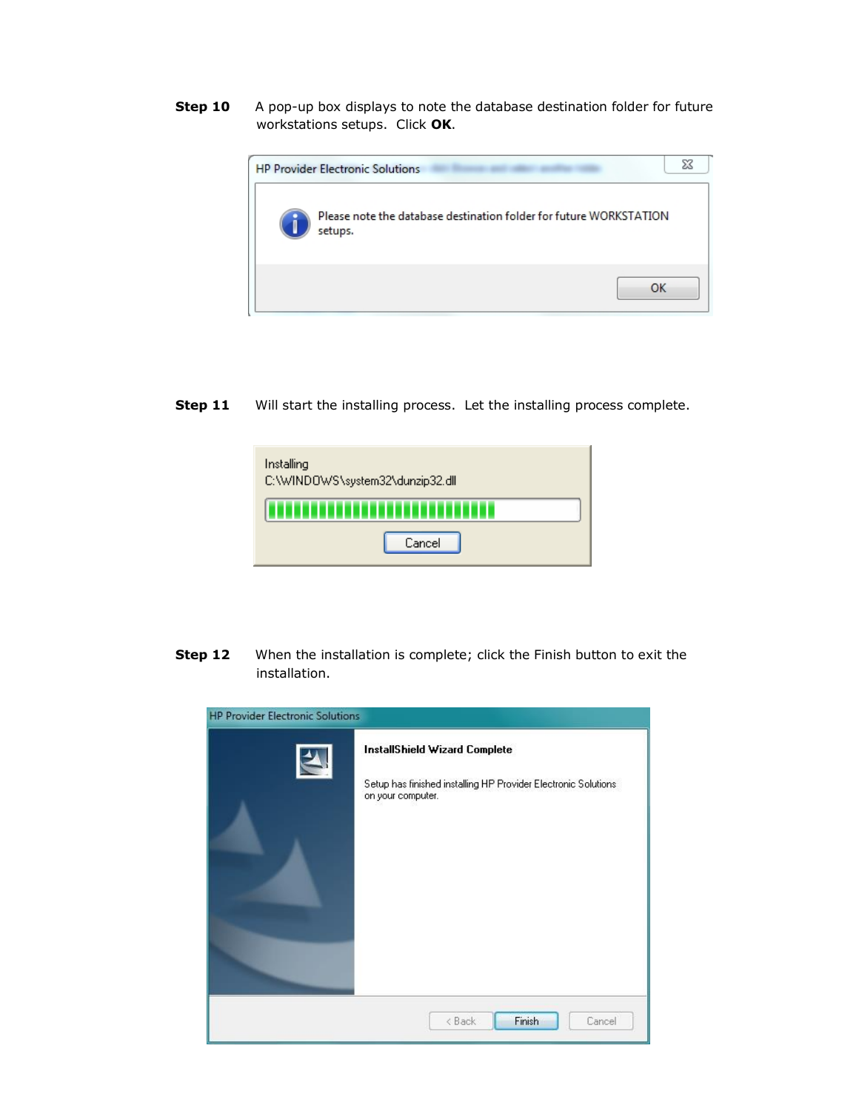**Step 10** A pop-up box displays to note the database destination folder for future workstations setups. Click **OK**.



**Step 11** Will start the installing process. Let the installing process complete.



**Step 12** When the installation is complete; click the Finish button to exit the installation.

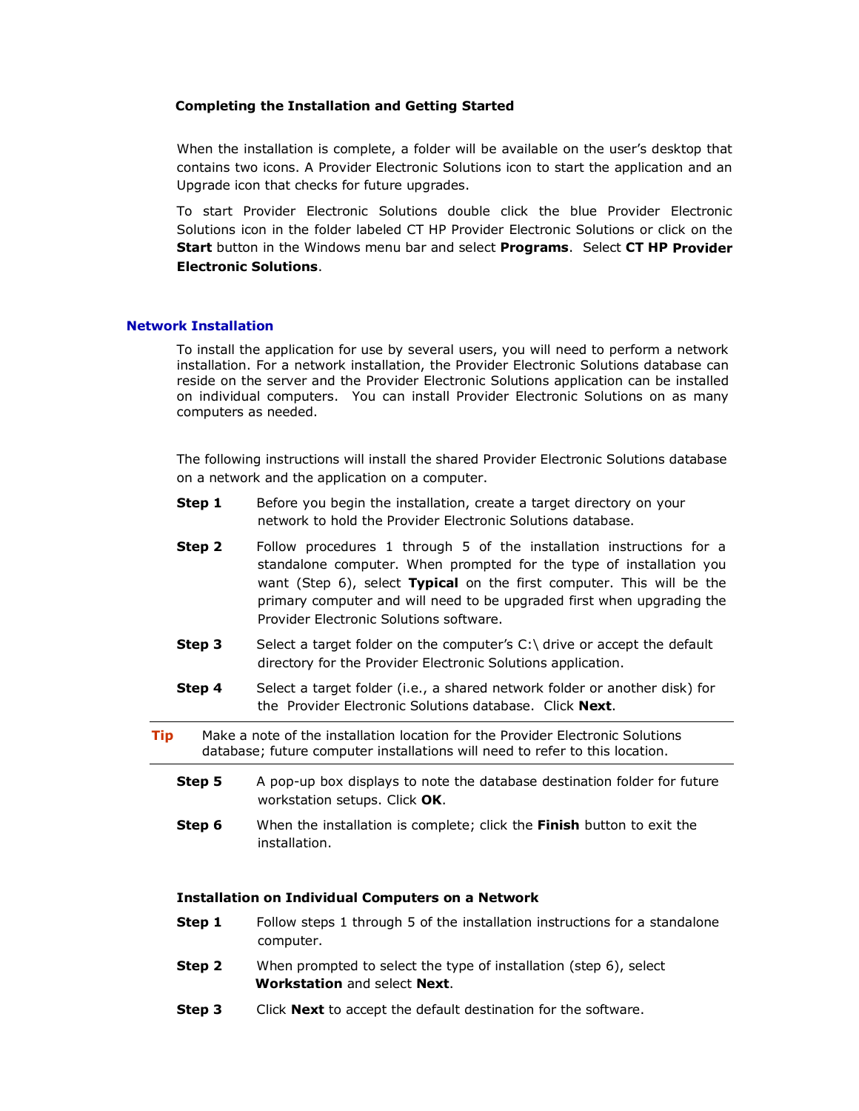#### **Completing the Installation and Getting Started**

When the installation is complete, a folder will be available on the user's desktop that contains two icons. A Provider Electronic Solutions icon to start the application and an Upgrade icon that checks for future upgrades.

To start Provider Electronic Solutions double click the blue Provider Electronic Solutions icon in the folder labeled CT HP Provider Electronic Solutions or click on the **Start** button in the Windows menu bar and select **Programs**. Select **CT HP Provider Electronic Solutions**.

#### **Network Installation**

To install the application for use by several users, you will need to perform a network installation. For a network installation, the Provider Electronic Solutions database can reside on the server and the Provider Electronic Solutions application can be installed on individual computers. You can install Provider Electronic Solutions on as many computers as needed.

The following instructions will install the shared Provider Electronic Solutions database on a network and the application on a computer.

- **Step 1** Before you begin the installation, create a target directory on your network to hold the Provider Electronic Solutions database.
- **Step 2** Follow procedures 1 through 5 of the installation instructions for a standalone computer. When prompted for the type of installation you want (Step 6), select **Typical** on the first computer. This will be the primary computer and will need to be upgraded first when upgrading the Provider Electronic Solutions software.
- **Step 3** Select a target folder on the computer's C:\ drive or accept the default directory for the Provider Electronic Solutions application.
- **Step 4** Select a target folder (i.e., a shared network folder or another disk) for the Provider Electronic Solutions database. Click **Next**.
- **Tip** Make a note of the installation location for the Provider Electronic Solutions database; future computer installations will need to refer to this location.
	- **Step 5** A pop-up box displays to note the database destination folder for future workstation setups. Click **OK**.
	- **Step 6** When the installation is complete; click the **Finish** button to exit the installation.

#### **Installation on Individual Computers on a Network**

- **Step 1** Follow steps 1 through 5 of the installation instructions for a standalone computer.
- **Step 2** When prompted to select the type of installation (step 6), select **Workstation** and select **Next**.
- **Step 3** Click **Next** to accept the default destination for the software.